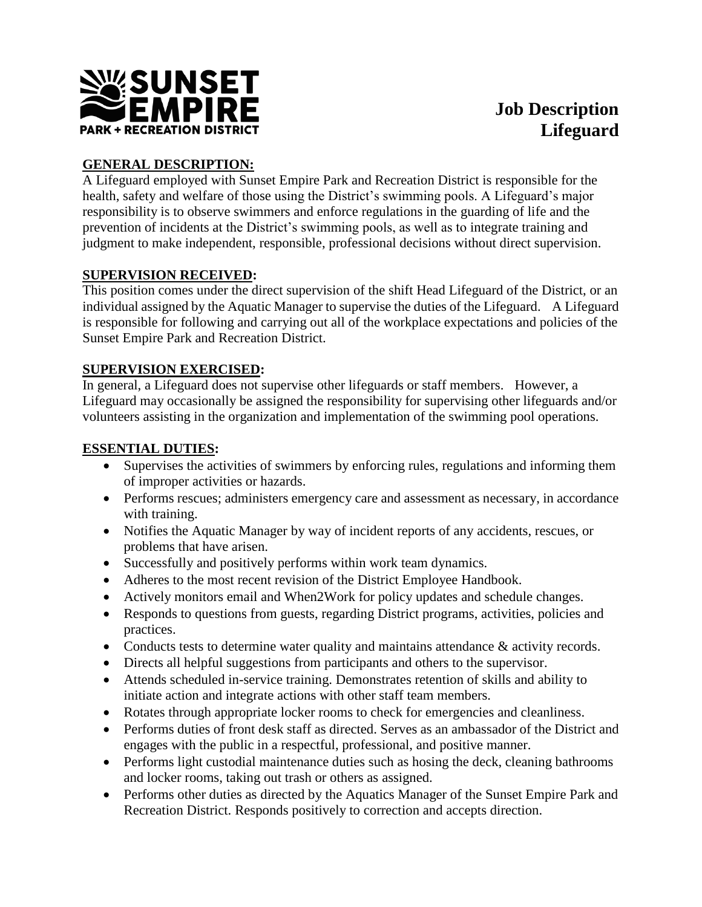

# **Job Description Lifeguard**

# **GENERAL DESCRIPTION:**

A Lifeguard employed with Sunset Empire Park and Recreation District is responsible for the health, safety and welfare of those using the District's swimming pools. A Lifeguard's major responsibility is to observe swimmers and enforce regulations in the guarding of life and the prevention of incidents at the District's swimming pools, as well as to integrate training and judgment to make independent, responsible, professional decisions without direct supervision.

## **SUPERVISION RECEIVED:**

This position comes under the direct supervision of the shift Head Lifeguard of the District, or an individual assigned by the Aquatic Manager to supervise the duties of the Lifeguard. A Lifeguard is responsible for following and carrying out all of the workplace expectations and policies of the Sunset Empire Park and Recreation District.

## **SUPERVISION EXERCISED:**

In general, a Lifeguard does not supervise other lifeguards or staff members. However, a Lifeguard may occasionally be assigned the responsibility for supervising other lifeguards and/or volunteers assisting in the organization and implementation of the swimming pool operations.

# **ESSENTIAL DUTIES:**

- Supervises the activities of swimmers by enforcing rules, regulations and informing them of improper activities or hazards.
- Performs rescues; administers emergency care and assessment as necessary, in accordance with training.
- Notifies the Aquatic Manager by way of incident reports of any accidents, rescues, or problems that have arisen.
- Successfully and positively performs within work team dynamics.
- Adheres to the most recent revision of the District Employee Handbook.
- Actively monitors email and When2Work for policy updates and schedule changes.
- Responds to questions from guests, regarding District programs, activities, policies and practices.
- Conducts tests to determine water quality and maintains attendance & activity records.
- Directs all helpful suggestions from participants and others to the supervisor.
- Attends scheduled in-service training. Demonstrates retention of skills and ability to initiate action and integrate actions with other staff team members.
- Rotates through appropriate locker rooms to check for emergencies and cleanliness.
- Performs duties of front desk staff as directed. Serves as an ambassador of the District and engages with the public in a respectful, professional, and positive manner.
- Performs light custodial maintenance duties such as hosing the deck, cleaning bathrooms and locker rooms, taking out trash or others as assigned.
- Performs other duties as directed by the Aquatics Manager of the Sunset Empire Park and Recreation District. Responds positively to correction and accepts direction.